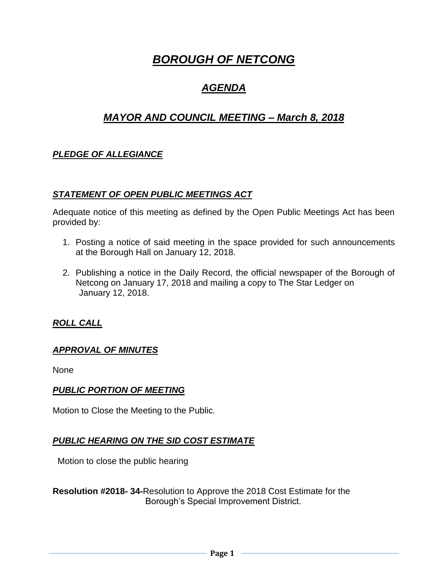# *BOROUGH OF NETCONG*

## *AGENDA*

## *MAYOR AND COUNCIL MEETING – March 8, 2018*

## *PLEDGE OF ALLEGIANCE*

#### *STATEMENT OF OPEN PUBLIC MEETINGS ACT*

Adequate notice of this meeting as defined by the Open Public Meetings Act has been provided by:

- 1. Posting a notice of said meeting in the space provided for such announcements at the Borough Hall on January 12, 2018.
- 2. Publishing a notice in the Daily Record, the official newspaper of the Borough of Netcong on January 17, 2018 and mailing a copy to The Star Ledger on January 12, 2018.

## *ROLL CALL*

#### *APPROVAL OF MINUTES*

None

#### *PUBLIC PORTION OF MEETING*

Motion to Close the Meeting to the Public.

## *PUBLIC HEARING ON THE SID COST ESTIMATE*

Motion to close the public hearing

**Resolution #2018- 34-**Resolution to Approve the 2018 Cost Estimate for the Borough's Special Improvement District.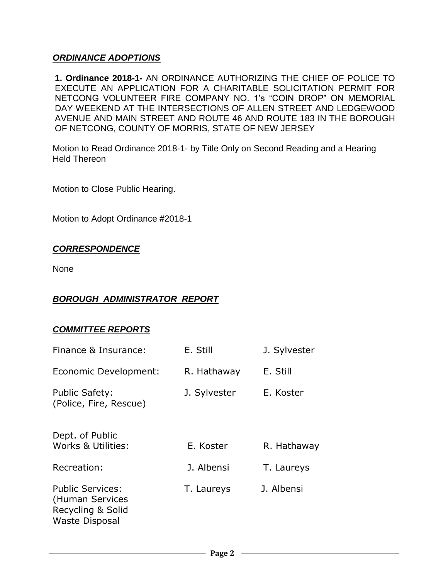## *ORDINANCE ADOPTIONS*

**1. Ordinance 2018-1-** AN ORDINANCE AUTHORIZING THE CHIEF OF POLICE TO EXECUTE AN APPLICATION FOR A CHARITABLE SOLICITATION PERMIT FOR NETCONG VOLUNTEER FIRE COMPANY NO. 1's "COIN DROP" ON MEMORIAL DAY WEEKEND AT THE INTERSECTIONS OF ALLEN STREET AND LEDGEWOOD AVENUE AND MAIN STREET AND ROUTE 46 AND ROUTE 183 IN THE BOROUGH OF NETCONG, COUNTY OF MORRIS, STATE OF NEW JERSEY

Motion to Read Ordinance 2018-1- by Title Only on Second Reading and a Hearing Held Thereon

Motion to Close Public Hearing.

Motion to Adopt Ordinance #2018-1

#### *CORRESPONDENCE*

None

## *BOROUGH ADMINISTRATOR REPORT*

#### *COMMITTEE REPORTS*

| Finance & Insurance:                                                                     | E. Still     | J. Sylvester |
|------------------------------------------------------------------------------------------|--------------|--------------|
| Economic Development:                                                                    | R. Hathaway  | E. Still     |
| <b>Public Safety:</b><br>(Police, Fire, Rescue)                                          | J. Sylvester | E. Koster    |
| Dept. of Public<br>Works & Utilities:                                                    | E. Koster    | R. Hathaway  |
| Recreation:                                                                              | J. Albensi   | T. Laureys   |
| <b>Public Services:</b><br>(Human Services<br>Recycling & Solid<br><b>Waste Disposal</b> | T. Laureys   | J. Albensi   |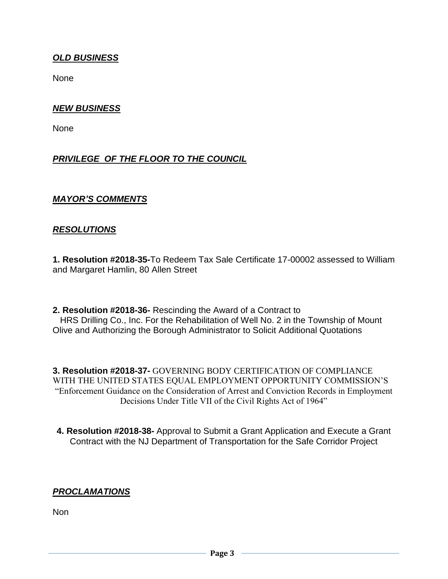## *OLD BUSINESS*

None

#### *NEW BUSINESS*

None

## *PRIVILEGE OF THE FLOOR TO THE COUNCIL*

#### *MAYOR'S COMMENTS*

#### *RESOLUTIONS*

**1. Resolution #2018-35-**To Redeem Tax Sale Certificate 17-00002 assessed to William and Margaret Hamlin, 80 Allen Street

**2. Resolution #2018-36-** Rescinding the Award of a Contract to HRS Drilling Co., Inc. For the Rehabilitation of Well No. 2 in the Township of Mount Olive and Authorizing the Borough Administrator to Solicit Additional Quotations

**3. Resolution #2018-37-** GOVERNING BODY CERTIFICATION OF COMPLIANCE WITH THE UNITED STATES EQUAL EMPLOYMENT OPPORTUNITY COMMISSION'S "Enforcement Guidance on the Consideration of Arrest and Conviction Records in Employment Decisions Under Title VII of the Civil Rights Act of 1964"

**4. Resolution #2018-38-** Approval to Submit a Grant Application and Execute a Grant Contract with the NJ Department of Transportation for the Safe Corridor Project

#### *PROCLAMATIONS*

Non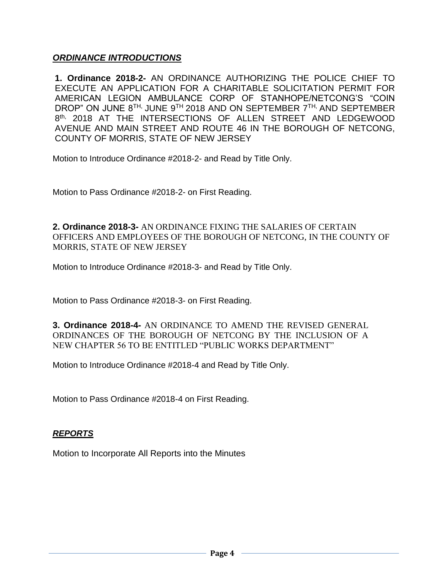## *ORDINANCE INTRODUCTIONS*

**1. Ordinance 2018-2-** AN ORDINANCE AUTHORIZING THE POLICE CHIEF TO EXECUTE AN APPLICATION FOR A CHARITABLE SOLICITATION PERMIT FOR AMERICAN LEGION AMBULANCE CORP OF STANHOPE/NETCONG'S "COIN DROP" ON JUNE 8<sup>TH,</sup> JUNE 9<sup>TH</sup> 2018 AND ON SEPTEMBER 7<sup>TH,</sup> AND SEPTEMBER 8<sup>th,</sup> 2018 AT THE INTERSECTIONS OF ALLEN STREET AND LEDGEWOOD AVENUE AND MAIN STREET AND ROUTE 46 IN THE BOROUGH OF NETCONG, COUNTY OF MORRIS, STATE OF NEW JERSEY

Motion to Introduce Ordinance #2018-2- and Read by Title Only.

Motion to Pass Ordinance #2018-2- on First Reading.

**2. Ordinance 2018-3-** AN ORDINANCE FIXING THE SALARIES OF CERTAIN OFFICERS AND EMPLOYEES OF THE BOROUGH OF NETCONG, IN THE COUNTY OF MORRIS, STATE OF NEW JERSEY

Motion to Introduce Ordinance #2018-3- and Read by Title Only.

Motion to Pass Ordinance #2018-3- on First Reading.

**3. Ordinance 2018-4-** AN ORDINANCE TO AMEND THE REVISED GENERAL ORDINANCES OF THE BOROUGH OF NETCONG BY THE INCLUSION OF A NEW CHAPTER 56 TO BE ENTITLED "PUBLIC WORKS DEPARTMENT"

Motion to Introduce Ordinance #2018-4 and Read by Title Only.

Motion to Pass Ordinance #2018-4 on First Reading.

#### *REPORTS*

Motion to Incorporate All Reports into the Minutes